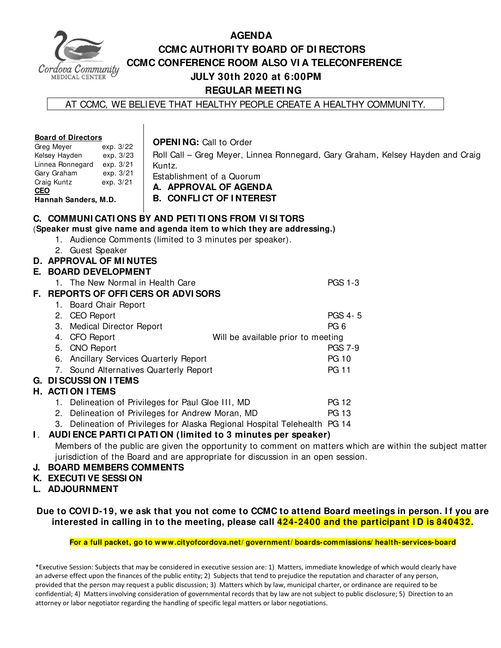

### **AGENDA CCMC AUTHORI TY BOARD OF DI RECTORS CCMC CONFERENCE ROOM ALSO VI A TELECONFERENCE JULY 30th 2020 at 6:00PM REGULAR MEETI NG**

AT CCMC, WE BELIEVE THAT HEALTHY PEOPLE CREATE A HEALTHY COMMUNITY.

| C. COMMUNI CATI ONS BY AND PETI TI ONS FROM VI SI TORS<br>(Speaker must give name and agenda item to which they are addressing.)<br>1. Audience Comments (limited to 3 minutes per speaker).<br>2. Guest Speaker<br>D. APPROVAL OF MINUTES<br><b>E. BOARD DEVELOPMENT</b><br><b>PGS 1-3</b><br>1. The New Normal in Health Care<br>F. REPORTS OF OFFICERS OR ADVISORS<br>1. Board Chair Report<br>PGS 4-5<br>2. CEO Report<br>PG <sub>6</sub><br><b>Medical Director Report</b><br>3.<br><b>CFO</b> Report<br>Will be available prior to meeting<br>4.<br>5. CNO Report<br><b>PGS 7-9</b><br>6. Ancillary Services Quarterly Report<br><b>PG 10</b><br><b>PG 11</b><br>7. Sound Alternatives Quarterly Report<br><b>G. DI SCUSSI ON I TEMS</b><br><b>H. ACTION ITEMS</b><br><b>PG 12</b><br>1. Delineation of Privileges for Paul Gloe III, MD<br>2. Delineation of Privileges for Andrew Moran, MD<br><b>PG 13</b> | <b>Board of Directors</b><br>Greg Meyer<br>exp. 3/22<br>Kelsey Hayden<br>exp. 3/23<br>Linnea Ronnegard exp. 3/21<br>Gary Graham<br>exp. 3/21<br>Craig Kuntz<br>exp. 3/21<br><b>CEO</b><br>Hannah Sanders, M.D. |  |  | <b>OPENING: Call to Order</b><br>Kuntz.<br>Establishment of a Quorum<br>A. APPROVAL OF AGENDA<br><b>B. CONFLICT OF INTEREST</b> | Roll Call - Greg Meyer, Linnea Ronnegard, Gary Graham, Kelsey Hayden and Craig |  |  |
|---------------------------------------------------------------------------------------------------------------------------------------------------------------------------------------------------------------------------------------------------------------------------------------------------------------------------------------------------------------------------------------------------------------------------------------------------------------------------------------------------------------------------------------------------------------------------------------------------------------------------------------------------------------------------------------------------------------------------------------------------------------------------------------------------------------------------------------------------------------------------------------------------------------------|----------------------------------------------------------------------------------------------------------------------------------------------------------------------------------------------------------------|--|--|---------------------------------------------------------------------------------------------------------------------------------|--------------------------------------------------------------------------------|--|--|
|                                                                                                                                                                                                                                                                                                                                                                                                                                                                                                                                                                                                                                                                                                                                                                                                                                                                                                                     |                                                                                                                                                                                                                |  |  |                                                                                                                                 |                                                                                |  |  |
|                                                                                                                                                                                                                                                                                                                                                                                                                                                                                                                                                                                                                                                                                                                                                                                                                                                                                                                     |                                                                                                                                                                                                                |  |  |                                                                                                                                 |                                                                                |  |  |
|                                                                                                                                                                                                                                                                                                                                                                                                                                                                                                                                                                                                                                                                                                                                                                                                                                                                                                                     |                                                                                                                                                                                                                |  |  |                                                                                                                                 |                                                                                |  |  |
|                                                                                                                                                                                                                                                                                                                                                                                                                                                                                                                                                                                                                                                                                                                                                                                                                                                                                                                     |                                                                                                                                                                                                                |  |  |                                                                                                                                 |                                                                                |  |  |
|                                                                                                                                                                                                                                                                                                                                                                                                                                                                                                                                                                                                                                                                                                                                                                                                                                                                                                                     |                                                                                                                                                                                                                |  |  |                                                                                                                                 |                                                                                |  |  |
|                                                                                                                                                                                                                                                                                                                                                                                                                                                                                                                                                                                                                                                                                                                                                                                                                                                                                                                     |                                                                                                                                                                                                                |  |  |                                                                                                                                 |                                                                                |  |  |
|                                                                                                                                                                                                                                                                                                                                                                                                                                                                                                                                                                                                                                                                                                                                                                                                                                                                                                                     |                                                                                                                                                                                                                |  |  |                                                                                                                                 |                                                                                |  |  |
|                                                                                                                                                                                                                                                                                                                                                                                                                                                                                                                                                                                                                                                                                                                                                                                                                                                                                                                     |                                                                                                                                                                                                                |  |  |                                                                                                                                 |                                                                                |  |  |
|                                                                                                                                                                                                                                                                                                                                                                                                                                                                                                                                                                                                                                                                                                                                                                                                                                                                                                                     |                                                                                                                                                                                                                |  |  |                                                                                                                                 |                                                                                |  |  |
|                                                                                                                                                                                                                                                                                                                                                                                                                                                                                                                                                                                                                                                                                                                                                                                                                                                                                                                     |                                                                                                                                                                                                                |  |  |                                                                                                                                 |                                                                                |  |  |
|                                                                                                                                                                                                                                                                                                                                                                                                                                                                                                                                                                                                                                                                                                                                                                                                                                                                                                                     |                                                                                                                                                                                                                |  |  |                                                                                                                                 |                                                                                |  |  |
|                                                                                                                                                                                                                                                                                                                                                                                                                                                                                                                                                                                                                                                                                                                                                                                                                                                                                                                     |                                                                                                                                                                                                                |  |  |                                                                                                                                 |                                                                                |  |  |
|                                                                                                                                                                                                                                                                                                                                                                                                                                                                                                                                                                                                                                                                                                                                                                                                                                                                                                                     |                                                                                                                                                                                                                |  |  |                                                                                                                                 |                                                                                |  |  |
|                                                                                                                                                                                                                                                                                                                                                                                                                                                                                                                                                                                                                                                                                                                                                                                                                                                                                                                     |                                                                                                                                                                                                                |  |  |                                                                                                                                 |                                                                                |  |  |
|                                                                                                                                                                                                                                                                                                                                                                                                                                                                                                                                                                                                                                                                                                                                                                                                                                                                                                                     |                                                                                                                                                                                                                |  |  |                                                                                                                                 |                                                                                |  |  |
|                                                                                                                                                                                                                                                                                                                                                                                                                                                                                                                                                                                                                                                                                                                                                                                                                                                                                                                     |                                                                                                                                                                                                                |  |  |                                                                                                                                 |                                                                                |  |  |
|                                                                                                                                                                                                                                                                                                                                                                                                                                                                                                                                                                                                                                                                                                                                                                                                                                                                                                                     |                                                                                                                                                                                                                |  |  |                                                                                                                                 |                                                                                |  |  |
|                                                                                                                                                                                                                                                                                                                                                                                                                                                                                                                                                                                                                                                                                                                                                                                                                                                                                                                     |                                                                                                                                                                                                                |  |  |                                                                                                                                 |                                                                                |  |  |
|                                                                                                                                                                                                                                                                                                                                                                                                                                                                                                                                                                                                                                                                                                                                                                                                                                                                                                                     | 3. Delineation of Privileges for Alaska Regional Hospital Telehealth PG 14                                                                                                                                     |  |  |                                                                                                                                 |                                                                                |  |  |
| I. AUDI ENCE PARTI CI PATI ON (limited to 3 minutes per speaker)                                                                                                                                                                                                                                                                                                                                                                                                                                                                                                                                                                                                                                                                                                                                                                                                                                                    |                                                                                                                                                                                                                |  |  |                                                                                                                                 |                                                                                |  |  |
| Members of the public are given the opportunity to comment on matters which are within the subject matter                                                                                                                                                                                                                                                                                                                                                                                                                                                                                                                                                                                                                                                                                                                                                                                                           |                                                                                                                                                                                                                |  |  |                                                                                                                                 |                                                                                |  |  |
| jurisdiction of the Board and are appropriate for discussion in an open session.<br>$\mathbf{r}$<br>IFMBFBA.                                                                                                                                                                                                                                                                                                                                                                                                                                                                                                                                                                                                                                                                                                                                                                                                        |                                                                                                                                                                                                                |  |  |                                                                                                                                 |                                                                                |  |  |

#### **J. BOARD MEMBERS COMMENTS**

- **K. EXECUTI VE SESSI ON**
- **L. ADJOURNMENT**

#### **Due to COVI D-19, we ask that you not come to CCMC to attend Board meetings in person. I f you are interested in calling in to the meeting, please call 424-2400 and the participant I D is 840432.**

#### **For a full packet, go to www.cityofcordova.net/ government/ boards-commissions/ health-services-board**

\*Executive Session: Subjects that may be considered in executive session are: 1) Matters, immediate knowledge of which would clearly have an adverse effect upon the finances of the public entity; 2) Subjects that tend to prejudice the reputation and character of any person, provided that the person may request a public discussion; 3) Matters which by law, municipal charter, or ordinance are required to be confidential; 4) Matters involving consideration of governmental records that by law are not subject to public disclosure; 5) Direction to an attorney or labor negotiator regarding the handling of specific legal matters or labor negotiations.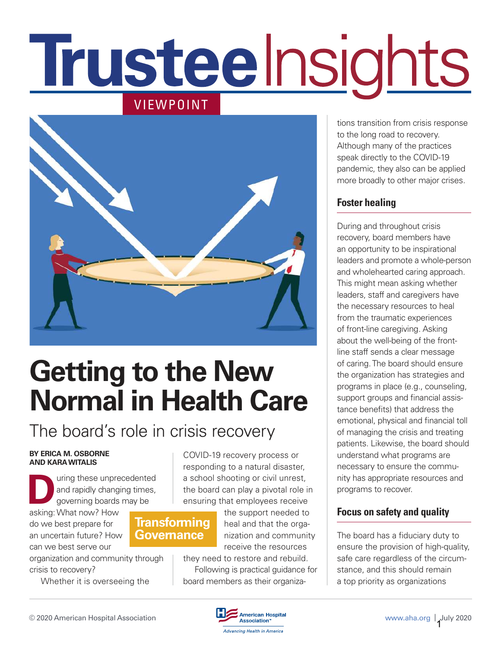# **Trusteelnsights** VIEWPOINT



# **Getting to the New Normal in Health Care**

**Transforming Governance**

# The board's role in crisis recovery

#### **BY ERICA M. OSBORNE AND KARA WITALIS**

**D** asking: What now? How uring these unprecedented and rapidly changing times, governing boards may be

do we best prepare for an uncertain future? How can we best serve our

organization and community through crisis to recovery?

Whether it is overseeing the

COVID-19 recovery process or responding to a natural disaster, a school shooting or civil unrest, the board can play a pivotal role in ensuring that employees receive

> the support needed to heal and that the organization and community receive the resources

they need to restore and rebuild. Following is practical guidance for board members as their organizations transition from crisis response to the long road to recovery. Although many of the practices speak directly to the COVID-19 pandemic, they also can be applied more broadly to other major crises.

# **Foster healing**

During and throughout crisis recovery, board members have an opportunity to be inspirational leaders and promote a whole-person and wholehearted caring approach. This might mean asking whether leaders, staff and caregivers have the necessary resources to heal from the traumatic experiences of front-line caregiving. Asking about the well-being of the frontline staff sends a clear message of caring. The board should ensure the organization has strategies and programs in place (e.g., counseling, support groups and financial assistance benefits) that address the emotional, physical and financial toll of managing the crisis and treating patients. Likewise, the board should understand what programs are necessary to ensure the community has appropriate resources and programs to recover.

# **Focus on safety and quality**

The board has a fiduciary duty to ensure the provision of high-quality, safe care regardless of the circumstance, and this should remain a top priority as organizations

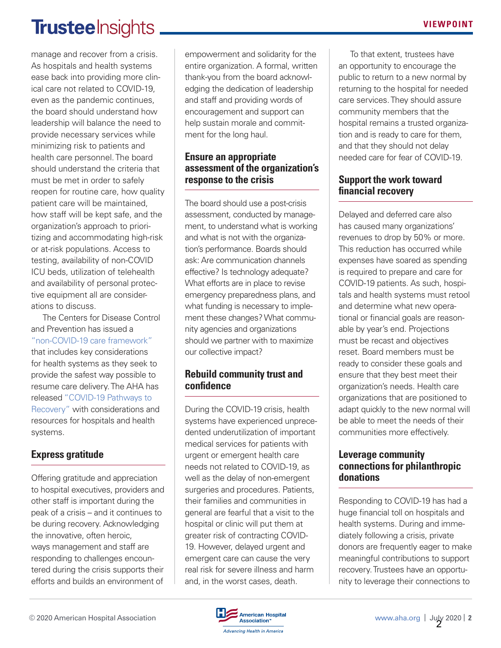# Trustee Insights.

manage and recover from a crisis. As hospitals and health systems ease back into providing more clinical care not related to COVID-19, even as the pandemic continues, the board should understand how leadership will balance the need to provide necessary services while minimizing risk to patients and health care personnel. The board should understand the criteria that must be met in order to safely reopen for routine care, how quality patient care will be maintained, how staff will be kept safe, and the organization's approach to prioritizing and accommodating high-risk or at-risk populations. Access to testing, availability of non-COVID ICU beds, utilization of telehealth and availability of personal protective equipment all are considerations to discuss.

The Centers for Disease Control and Prevention has issued a "non-COVID-19 care framework" that includes key considerations for health systems as they seek to provide the safest way possible to resume care delivery. The AHA has released "COVID-19 Pathways to Recovery" with considerations and resources for hospitals and health systems.

# **Express gratitude**

Offering gratitude and appreciation to hospital executives, providers and other staff is important during the peak of a crisis – and it continues to be during recovery. Acknowledging the innovative, often heroic, ways management and staff are responding to challenges encountered during the crisis supports their efforts and builds an environment of

empowerment and solidarity for the entire organization. A formal, written thank-you from the board acknowledging the dedication of leadership and staff and providing words of encouragement and support can help sustain morale and commitment for the long haul.

### **Ensure an appropriate assessment of the organization's response to the crisis**

The board should use a post-crisis assessment, conducted by management, to understand what is working and what is not with the organization's performance. Boards should ask: Are communication channels effective? Is technology adequate? What efforts are in place to revise emergency preparedness plans, and what funding is necessary to implement these changes? What community agencies and organizations should we partner with to maximize our collective impact?

### **Rebuild community trust and confidence**

During the COVID-19 crisis, health systems have experienced unprecedented underutilization of important medical services for patients with urgent or emergent health care needs not related to COVID-19, as well as the delay of non-emergent surgeries and procedures. Patients, their families and communities in general are fearful that a visit to the hospital or clinic will put them at greater risk of contracting COVID-19. However, delayed urgent and emergent care can cause the very real risk for severe illness and harm and, in the worst cases, death.

To that extent, trustees have an opportunity to encourage the public to return to a new normal by returning to the hospital for needed care services. They should assure community members that the hospital remains a trusted organization and is ready to care for them, and that they should not delay needed care for fear of COVID-19.

### **Support the work toward financial recovery**

Delayed and deferred care also has caused many organizations' revenues to drop by 50% or more. This reduction has occurred while expenses have soared as spending is required to prepare and care for COVID-19 patients. As such, hospitals and health systems must retool and determine what new operational or financial goals are reasonable by year's end. Projections must be recast and objectives reset. Board members must be ready to consider these goals and ensure that they best meet their organization's needs. Health care organizations that are positioned to adapt quickly to the new normal will be able to meet the needs of their communities more effectively.

### **Leverage community connections for philanthropic donations**

Responding to COVID-19 has had a huge financial toll on hospitals and health systems. During and immediately following a crisis, private donors are frequently eager to make meaningful contributions to support recovery. Trustees have an opportunity to leverage their connections to

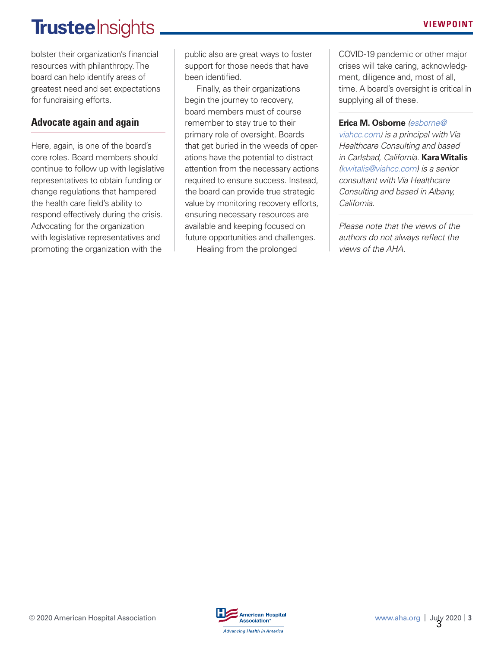# **Trusteelnsights**

bolster their organization's financial resources with philanthropy. The board can help identify areas of greatest need and set expectations for fundraising efforts.

# **Advocate again and again**

Here, again, is one of the board's core roles. Board members should continue to follow up with legislative representatives to obtain funding or change regulations that hampered the health care field's ability to respond effectively during the crisis. Advocating for the organization with legislative representatives and promoting the organization with the

public also are great ways to foster support for those needs that have been identified.

Finally, as their organizations begin the journey to recovery, board members must of course remember to stay true to their primary role of oversight. Boards that get buried in the weeds of operations have the potential to distract attention from the necessary actions required to ensure success. Instead, the board can provide true strategic value by monitoring recovery efforts, ensuring necessary resources are available and keeping focused on future opportunities and challenges. Healing from the prolonged

COVID-19 pandemic or other major crises will take caring, acknowledgment, diligence and, most of all, time. A board's oversight is critical in supplying all of these.

**Erica M. Osborne** (esborne@ viahcc.com) is a principal with Via Healthcare Consulting and based in Carlsbad, California. **Kara Witalis**  (kwitalis@viahcc.com) is a senior consultant with Via Healthcare Consulting and based in Albany, California.

Please note that the views of the authors do not always reflect the views of the AHA.

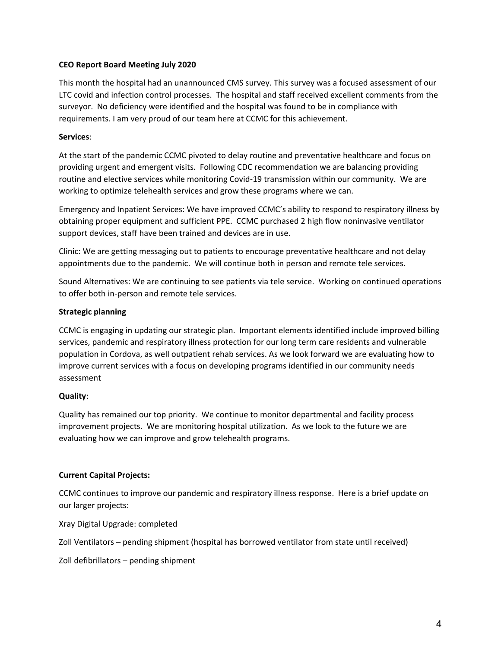#### **CEO Report Board Meeting July 2020**

This month the hospital had an unannounced CMS survey. This survey was a focused assessment of our LTC covid and infection control processes. The hospital and staff received excellent comments from the surveyor. No deficiency were identified and the hospital was found to be in compliance with requirements. I am very proud of our team here at CCMC for this achievement.

#### **Services**:

At the start of the pandemic CCMC pivoted to delay routine and preventative healthcare and focus on providing urgent and emergent visits. Following CDC recommendation we are balancing providing routine and elective services while monitoring Covid‐19 transmission within our community. We are working to optimize telehealth services and grow these programs where we can.

Emergency and Inpatient Services: We have improved CCMC's ability to respond to respiratory illness by obtaining proper equipment and sufficient PPE. CCMC purchased 2 high flow noninvasive ventilator support devices, staff have been trained and devices are in use.

Clinic: We are getting messaging out to patients to encourage preventative healthcare and not delay appointments due to the pandemic. We will continue both in person and remote tele services.

Sound Alternatives: We are continuing to see patients via tele service. Working on continued operations to offer both in‐person and remote tele services.

#### **Strategic planning**

CCMC is engaging in updating our strategic plan. Important elements identified include improved billing services, pandemic and respiratory illness protection for our long term care residents and vulnerable population in Cordova, as well outpatient rehab services. As we look forward we are evaluating how to improve current services with a focus on developing programs identified in our community needs assessment

#### **Quality**:

Quality has remained our top priority. We continue to monitor departmental and facility process improvement projects. We are monitoring hospital utilization. As we look to the future we are evaluating how we can improve and grow telehealth programs.

#### **Current Capital Projects:**

CCMC continues to improve our pandemic and respiratory illness response. Here is a brief update on our larger projects:

Xray Digital Upgrade: completed

Zoll Ventilators – pending shipment (hospital has borrowed ventilator from state until received)

Zoll defibrillators – pending shipment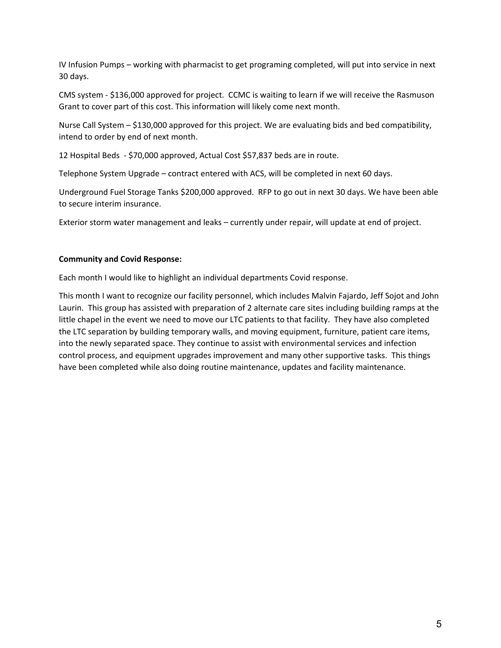IV Infusion Pumps – working with pharmacist to get programing completed, will put into service in next 30 days.

CMS system ‐ \$136,000 approved for project. CCMC is waiting to learn if we will receive the Rasmuson Grant to cover part of this cost. This information will likely come next month.

Nurse Call System – \$130,000 approved for this project. We are evaluating bids and bed compatibility, intend to order by end of next month.

12 Hospital Beds ‐ \$70,000 approved, Actual Cost \$57,837 beds are in route.

Telephone System Upgrade – contract entered with ACS, will be completed in next 60 days.

Underground Fuel Storage Tanks \$200,000 approved. RFP to go out in next 30 days. We have been able to secure interim insurance.

Exterior storm water management and leaks – currently under repair, will update at end of project.

#### **Community and Covid Response:**

Each month I would like to highlight an individual departments Covid response.

This month I want to recognize our facility personnel, which includes Malvin Fajardo, Jeff Sojot and John Laurin. This group has assisted with preparation of 2 alternate care sites including building ramps at the little chapel in the event we need to move our LTC patients to that facility. They have also completed the LTC separation by building temporary walls, and moving equipment, furniture, patient care items, into the newly separated space. They continue to assist with environmental services and infection control process, and equipment upgrades improvement and many other supportive tasks. This things have been completed while also doing routine maintenance, updates and facility maintenance.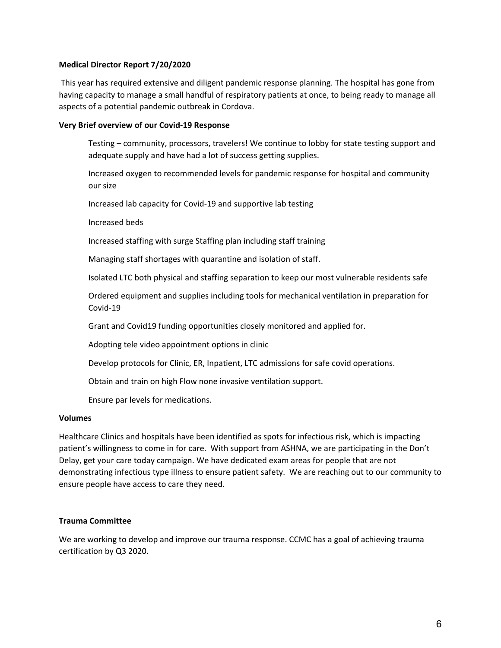#### **Medical Director Report 7/20/2020**

This year has required extensive and diligent pandemic response planning. The hospital has gone from having capacity to manage a small handful of respiratory patients at once, to being ready to manage all aspects of a potential pandemic outbreak in Cordova.

#### **Very Brief overview of our Covid‐19 Response**

Testing – community, processors, travelers! We continue to lobby for state testing support and adequate supply and have had a lot of success getting supplies.

Increased oxygen to recommended levels for pandemic response for hospital and community our size

Increased lab capacity for Covid‐19 and supportive lab testing

Increased beds

Increased staffing with surge Staffing plan including staff training

Managing staff shortages with quarantine and isolation of staff.

Isolated LTC both physical and staffing separation to keep our most vulnerable residents safe

Ordered equipment and supplies including tools for mechanical ventilation in preparation for Covid‐19

Grant and Covid19 funding opportunities closely monitored and applied for.

Adopting tele video appointment options in clinic

Develop protocols for Clinic, ER, Inpatient, LTC admissions for safe covid operations.

Obtain and train on high Flow none invasive ventilation support.

Ensure par levels for medications.

#### **Volumes**

Healthcare Clinics and hospitals have been identified as spots for infectious risk, which is impacting patient's willingness to come in for care. With support from ASHNA, we are participating in the Don't Delay, get your care today campaign. We have dedicated exam areas for people that are not demonstrating infectious type illness to ensure patient safety. We are reaching out to our community to ensure people have access to care they need.

#### **Trauma Committee**

We are working to develop and improve our trauma response. CCMC has a goal of achieving trauma certification by Q3 2020.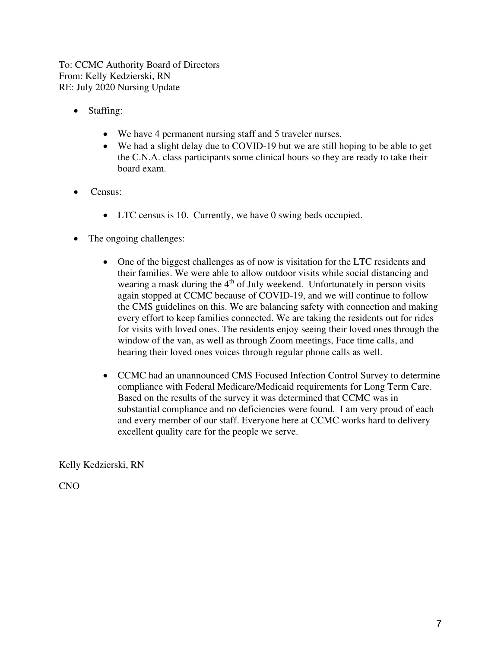To: CCMC Authority Board of Directors From: Kelly Kedzierski, RN RE: July 2020 Nursing Update

- Staffing:
	- We have 4 permanent nursing staff and 5 traveler nurses.
	- We had a slight delay due to COVID-19 but we are still hoping to be able to get the C.N.A. class participants some clinical hours so they are ready to take their board exam.
- Census:
	- LTC census is 10. Currently, we have 0 swing beds occupied.
- The ongoing challenges:
	- One of the biggest challenges as of now is visitation for the LTC residents and their families. We were able to allow outdoor visits while social distancing and wearing a mask during the  $4<sup>th</sup>$  of July weekend. Unfortunately in person visits again stopped at CCMC because of COVID-19, and we will continue to follow the CMS guidelines on this. We are balancing safety with connection and making every effort to keep families connected. We are taking the residents out for rides for visits with loved ones. The residents enjoy seeing their loved ones through the window of the van, as well as through Zoom meetings, Face time calls, and hearing their loved ones voices through regular phone calls as well.
	- CCMC had an unannounced CMS Focused Infection Control Survey to determine compliance with Federal Medicare/Medicaid requirements for Long Term Care. Based on the results of the survey it was determined that CCMC was in substantial compliance and no deficiencies were found. I am very proud of each and every member of our staff. Everyone here at CCMC works hard to delivery excellent quality care for the people we serve.

Kelly Kedzierski, RN

CNO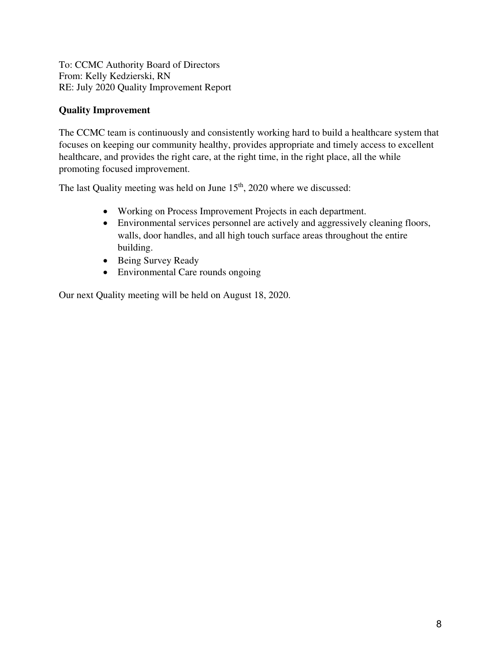To: CCMC Authority Board of Directors From: Kelly Kedzierski, RN RE: July 2020 Quality Improvement Report

#### **Quality Improvement**

The CCMC team is continuously and consistently working hard to build a healthcare system that focuses on keeping our community healthy, provides appropriate and timely access to excellent healthcare, and provides the right care, at the right time, in the right place, all the while promoting focused improvement.

The last Quality meeting was held on June  $15<sup>th</sup>$ , 2020 where we discussed:

- Working on Process Improvement Projects in each department.
- Environmental services personnel are actively and aggressively cleaning floors, walls, door handles, and all high touch surface areas throughout the entire building.
- Being Survey Ready
- Environmental Care rounds ongoing

Our next Quality meeting will be held on August 18, 2020.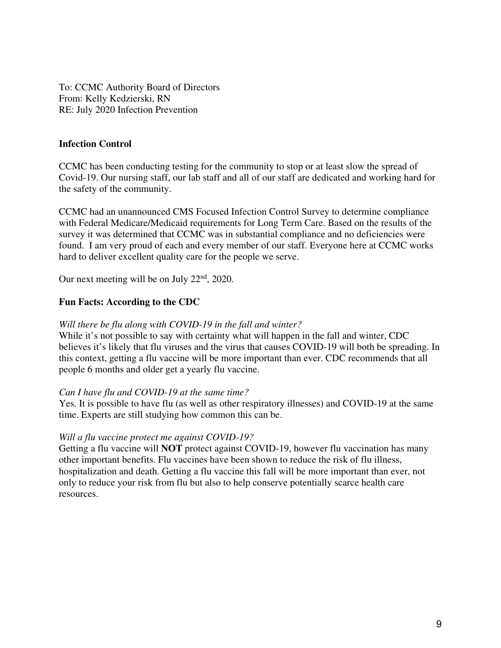To: CCMC Authority Board of Directors From: Kelly Kedzierski, RN RE: July 2020 Infection Prevention

#### **Infection Control**

CCMC has been conducting testing for the community to stop or at least slow the spread of Covid-19. Our nursing staff, our lab staff and all of our staff are dedicated and working hard for the safety of the community.

CCMC had an unannounced CMS Focused Infection Control Survey to determine compliance with Federal Medicare/Medicaid requirements for Long Term Care. Based on the results of the survey it was determined that CCMC was in substantial compliance and no deficiencies were found. I am very proud of each and every member of our staff. Everyone here at CCMC works hard to deliver excellent quality care for the people we serve.

Our next meeting will be on July  $22<sup>nd</sup>$ , 2020.

#### **Fun Facts: According to the CDC**

#### *Will there be flu along with COVID-19 in the fall and winter?*

While it's not possible to say with certainty what will happen in the fall and winter, CDC believes it's likely that flu viruses and the virus that causes COVID-19 will both be spreading. In this context, getting a flu vaccine will be more important than ever. CDC recommends that all people 6 months and older get a yearly flu vaccine.

#### *Can I have flu and COVID-19 at the same time?*

Yes. It is possible to have flu (as well as other respiratory illnesses) and COVID-19 at the same time. Experts are still studying how common this can be.

#### *Will a flu vaccine protect me against COVID-19?*

Getting a flu vaccine will **NOT** protect against COVID-19, however flu vaccination has many other important benefits. Flu vaccines have been shown to reduce the risk of flu illness, hospitalization and death. Getting a flu vaccine this fall will be more important than ever, not only to reduce your risk from flu but also to help conserve potentially scarce health care resources.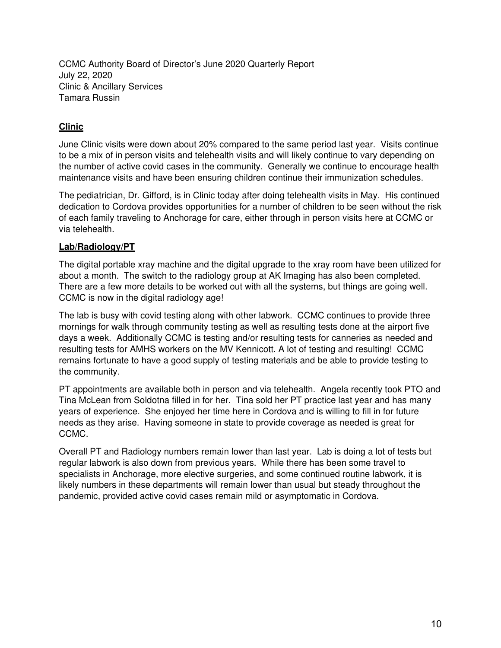CCMC Authority Board of Director's June 2020 Quarterly Report July 22, 2020 Clinic & Ancillary Services Tamara Russin

#### **Clinic**

June Clinic visits were down about 20% compared to the same period last year. Visits continue to be a mix of in person visits and telehealth visits and will likely continue to vary depending on the number of active covid cases in the community. Generally we continue to encourage health maintenance visits and have been ensuring children continue their immunization schedules.

The pediatrician, Dr. Gifford, is in Clinic today after doing telehealth visits in May. His continued dedication to Cordova provides opportunities for a number of children to be seen without the risk of each family traveling to Anchorage for care, either through in person visits here at CCMC or via telehealth.

#### **Lab/Radiology/PT**

The digital portable xray machine and the digital upgrade to the xray room have been utilized for about a month. The switch to the radiology group at AK Imaging has also been completed. There are a few more details to be worked out with all the systems, but things are going well. CCMC is now in the digital radiology age!

The lab is busy with covid testing along with other labwork. CCMC continues to provide three mornings for walk through community testing as well as resulting tests done at the airport five days a week. Additionally CCMC is testing and/or resulting tests for canneries as needed and resulting tests for AMHS workers on the MV Kennicott. A lot of testing and resulting! CCMC remains fortunate to have a good supply of testing materials and be able to provide testing to the community.

PT appointments are available both in person and via telehealth. Angela recently took PTO and Tina McLean from Soldotna filled in for her. Tina sold her PT practice last year and has many years of experience. She enjoyed her time here in Cordova and is willing to fill in for future needs as they arise. Having someone in state to provide coverage as needed is great for CCMC.

Overall PT and Radiology numbers remain lower than last year. Lab is doing a lot of tests but regular labwork is also down from previous years. While there has been some travel to specialists in Anchorage, more elective surgeries, and some continued routine labwork, it is likely numbers in these departments will remain lower than usual but steady throughout the pandemic, provided active covid cases remain mild or asymptomatic in Cordova.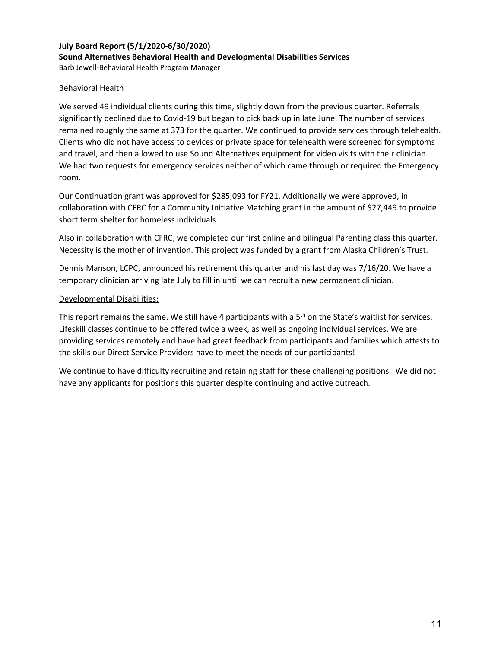### **July Board Report (5/1/2020‐6/30/2020) Sound Alternatives Behavioral Health and Developmental Disabilities Services**

Barb Jewell‐Behavioral Health Program Manager

#### Behavioral Health

We served 49 individual clients during this time, slightly down from the previous quarter. Referrals significantly declined due to Covid‐19 but began to pick back up in late June. The number of services remained roughly the same at 373 for the quarter. We continued to provide services through telehealth. Clients who did not have access to devices or private space for telehealth were screened for symptoms and travel, and then allowed to use Sound Alternatives equipment for video visits with their clinician. We had two requests for emergency services neither of which came through or required the Emergency room.

Our Continuation grant was approved for \$285,093 for FY21. Additionally we were approved, in collaboration with CFRC for a Community Initiative Matching grant in the amount of \$27,449 to provide short term shelter for homeless individuals.

Also in collaboration with CFRC, we completed our first online and bilingual Parenting class this quarter. Necessity is the mother of invention. This project was funded by a grant from Alaska Children's Trust.

Dennis Manson, LCPC, announced his retirement this quarter and his last day was 7/16/20. We have a temporary clinician arriving late July to fill in until we can recruit a new permanent clinician.

#### Developmental Disabilities:

This report remains the same. We still have 4 participants with a 5<sup>th</sup> on the State's waitlist for services. Lifeskill classes continue to be offered twice a week, as well as ongoing individual services. We are providing services remotely and have had great feedback from participants and families which attests to the skills our Direct Service Providers have to meet the needs of our participants!

We continue to have difficulty recruiting and retaining staff for these challenging positions. We did not have any applicants for positions this quarter despite continuing and active outreach.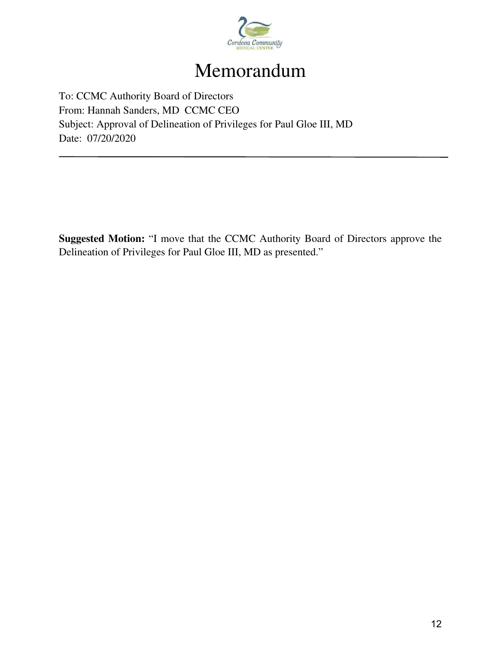

# Memorandum

To: CCMC Authority Board of Directors From: Hannah Sanders, MD CCMC CEO Subject: Approval of Delineation of Privileges for Paul Gloe III, MD Date: 07/20/2020

**Suggested Motion:** "I move that the CCMC Authority Board of Directors approve the Delineation of Privileges for Paul Gloe III, MD as presented."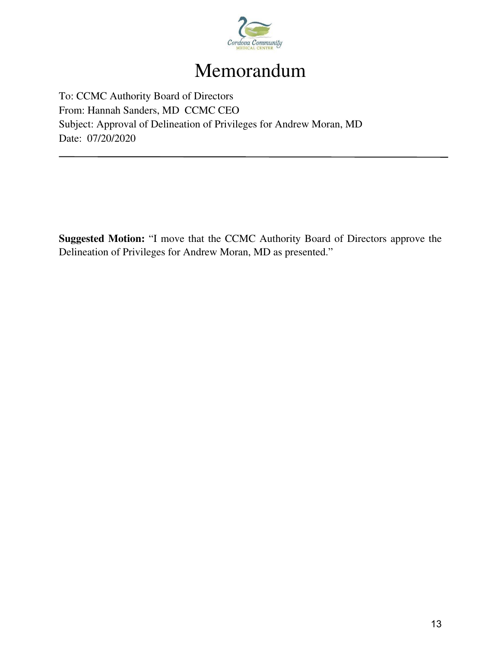

# Memorandum

To: CCMC Authority Board of Directors From: Hannah Sanders, MD CCMC CEO Subject: Approval of Delineation of Privileges for Andrew Moran, MD Date: 07/20/2020

**Suggested Motion:** "I move that the CCMC Authority Board of Directors approve the Delineation of Privileges for Andrew Moran, MD as presented."